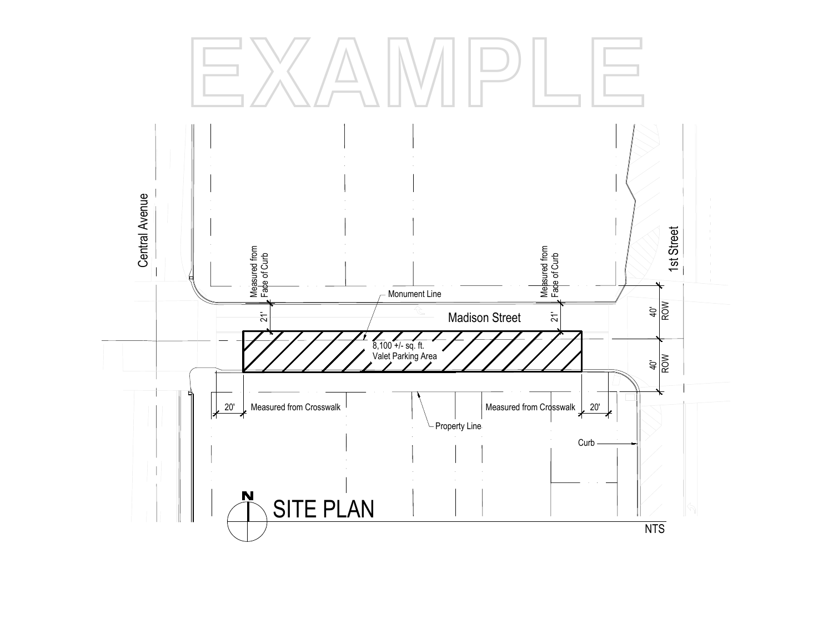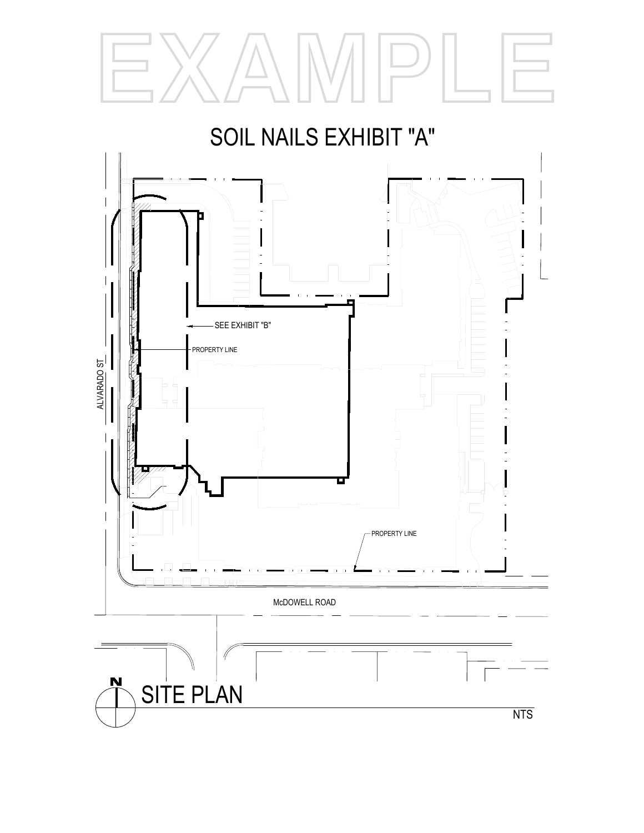



SITE PLAN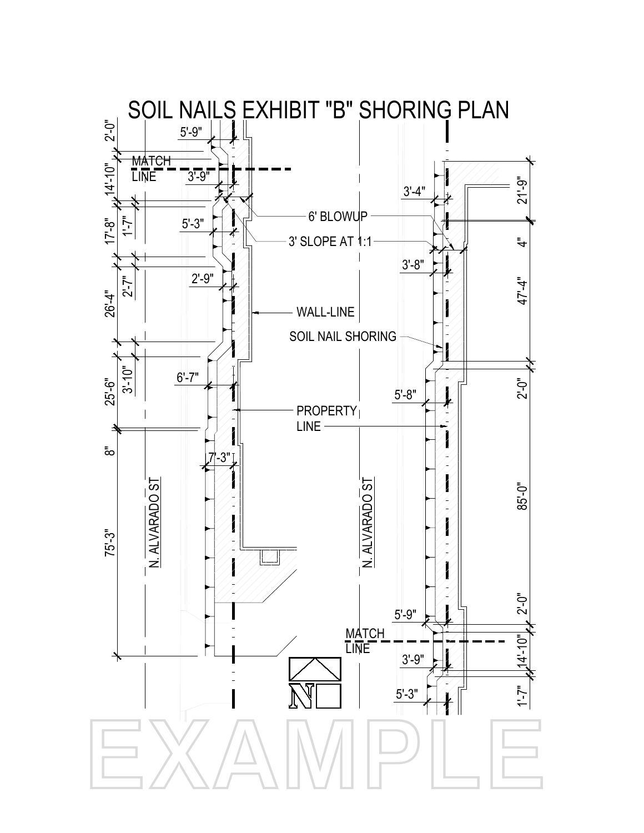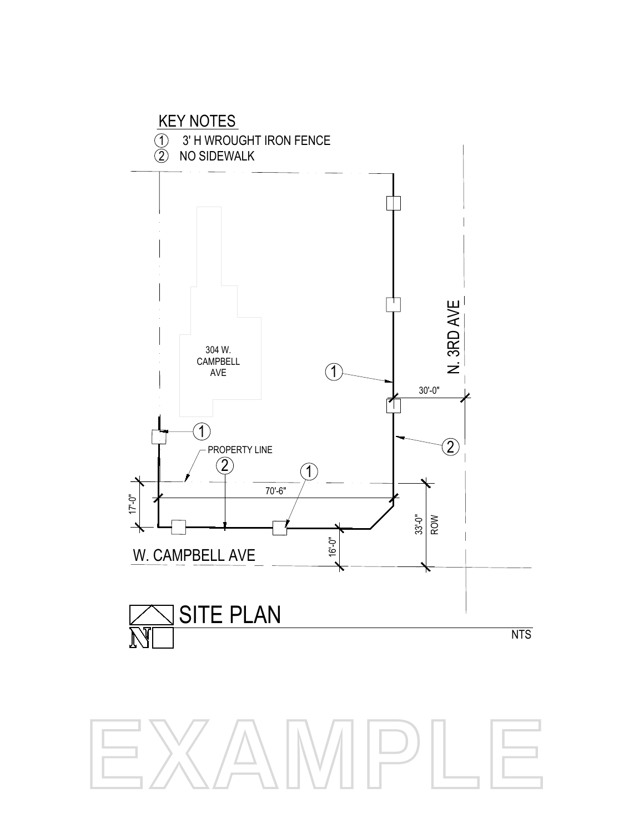